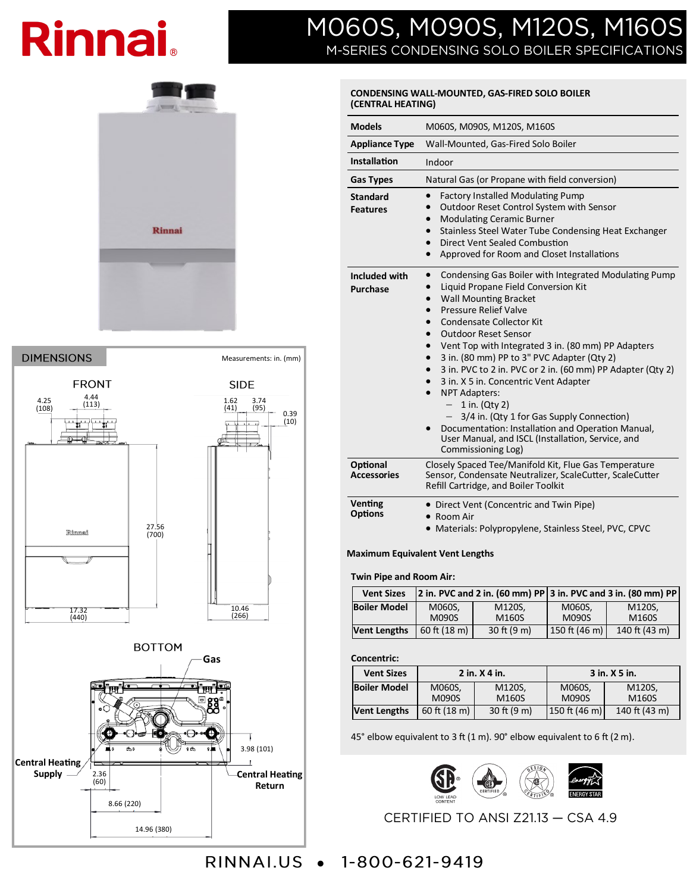# **Rinnai.**

# MO60S, MO90S, M120S, M160S M-SERIES CONDENSING SOLO BOILER SPECIFICATIONS

## **CONDENSING WALL-MOUNTED, GAS-FIRED SOLO BOILER (CENTRAL HEATING)**

| <b>Models</b>                      | M060S, M090S, M120S, M160S                                                                                                                                                                                                                                                                                                                                                                                                                                                                                                                                                                                                                                                                                                                                                                 |  |  |  |
|------------------------------------|--------------------------------------------------------------------------------------------------------------------------------------------------------------------------------------------------------------------------------------------------------------------------------------------------------------------------------------------------------------------------------------------------------------------------------------------------------------------------------------------------------------------------------------------------------------------------------------------------------------------------------------------------------------------------------------------------------------------------------------------------------------------------------------------|--|--|--|
| <b>Appliance Type</b>              | Wall-Mounted, Gas-Fired Solo Boiler                                                                                                                                                                                                                                                                                                                                                                                                                                                                                                                                                                                                                                                                                                                                                        |  |  |  |
| Installation                       | Indoor                                                                                                                                                                                                                                                                                                                                                                                                                                                                                                                                                                                                                                                                                                                                                                                     |  |  |  |
| <b>Gas Types</b>                   | Natural Gas (or Propane with field conversion)                                                                                                                                                                                                                                                                                                                                                                                                                                                                                                                                                                                                                                                                                                                                             |  |  |  |
| <b>Standard</b><br><b>Features</b> | <b>Factory Installed Modulating Pump</b><br>$\bullet$<br>Outdoor Reset Control System with Sensor<br>$\bullet$<br><b>Modulating Ceramic Burner</b><br>$\bullet$<br>Stainless Steel Water Tube Condensing Heat Exchanger<br>$\bullet$<br><b>Direct Vent Sealed Combustion</b><br>$\bullet$<br>Approved for Room and Closet Installations<br>$\bullet$                                                                                                                                                                                                                                                                                                                                                                                                                                       |  |  |  |
| Included with<br><b>Purchase</b>   | Condensing Gas Boiler with Integrated Modulating Pump<br>$\bullet$<br>Liquid Propane Field Conversion Kit<br>$\bullet$<br><b>Wall Mounting Bracket</b><br>$\bullet$<br><b>Pressure Relief Valve</b><br>$\bullet$<br>Condensate Collector Kit<br>$\bullet$<br><b>Outdoor Reset Sensor</b><br>$\bullet$<br>Vent Top with Integrated 3 in. (80 mm) PP Adapters<br>$\bullet$<br>3 in. (80 mm) PP to 3" PVC Adapter (Qty 2)<br>3 in. PVC to 2 in. PVC or 2 in. (60 mm) PP Adapter (Qty 2)<br>$\bullet$<br>3 in. X 5 in. Concentric Vent Adapter<br>$\bullet$<br><b>NPT Adapters:</b><br>$\bullet$<br>1 in. (Qty 2)<br>3/4 in. (Qty 1 for Gas Supply Connection)<br>Documentation: Installation and Operation Manual,<br>User Manual, and ISCL (Installation, Service, and<br>Commissioning Log) |  |  |  |
| Optional<br><b>Accessories</b>     | Closely Spaced Tee/Manifold Kit, Flue Gas Temperature<br>Sensor, Condensate Neutralizer, ScaleCutter, ScaleCutter<br>Refill Cartridge, and Boiler Toolkit                                                                                                                                                                                                                                                                                                                                                                                                                                                                                                                                                                                                                                  |  |  |  |
| <b>Venting</b><br><b>Options</b>   | • Direct Vent (Concentric and Twin Pipe)<br>Room Air<br>• Materials: Polypropylene, Stainless Steel, PVC, CPVC                                                                                                                                                                                                                                                                                                                                                                                                                                                                                                                                                                                                                                                                             |  |  |  |

### **Maximum Equivalent Vent Lengths**

#### **Twin Pipe and Room Air:**

| <b>Vent Sizes</b>   |                          |               | 2 in. PVC and 2 in. (60 mm) PP 3 in. PVC and 3 in. (80 mm) PP |               |  |
|---------------------|--------------------------|---------------|---------------------------------------------------------------|---------------|--|
| <b>Boiler Model</b> | M060S.                   | M120S.        | M060S.                                                        | M120S.        |  |
|                     | <b>M090S</b>             | M160S         | <b>M090S</b>                                                  | M160S         |  |
| <b>Vent Lengths</b> | $60$ ft $(18 \text{ m})$ | $30$ ft (9 m) | $150$ ft (46 m)                                               | 140 ft (43 m) |  |

#### **Concentric:**

| <b>Vent Sizes</b>   | 2 in. X 4 in.          |                 | 3 in. X 5 in.          |                 |
|---------------------|------------------------|-----------------|------------------------|-----------------|
| <b>Boiler Model</b> | M060S,<br><b>M090S</b> | M120S,<br>M160S | M060S,<br><b>M090S</b> | M120S.<br>M160S |
| <b>Vent Lengths</b> | 60 ft (18 m)           | 30 ft (9 m)     | 150 ft (46 m)          | 140 ft (43 m)   |

45° elbow equivalent to 3 ft (1 m). 90° elbow equivalent to 6 ft (2 m).



CERTIFIED TO ANSI Z21.13 - CSA 4.9





RINNAI.US • 1-800-621-9419